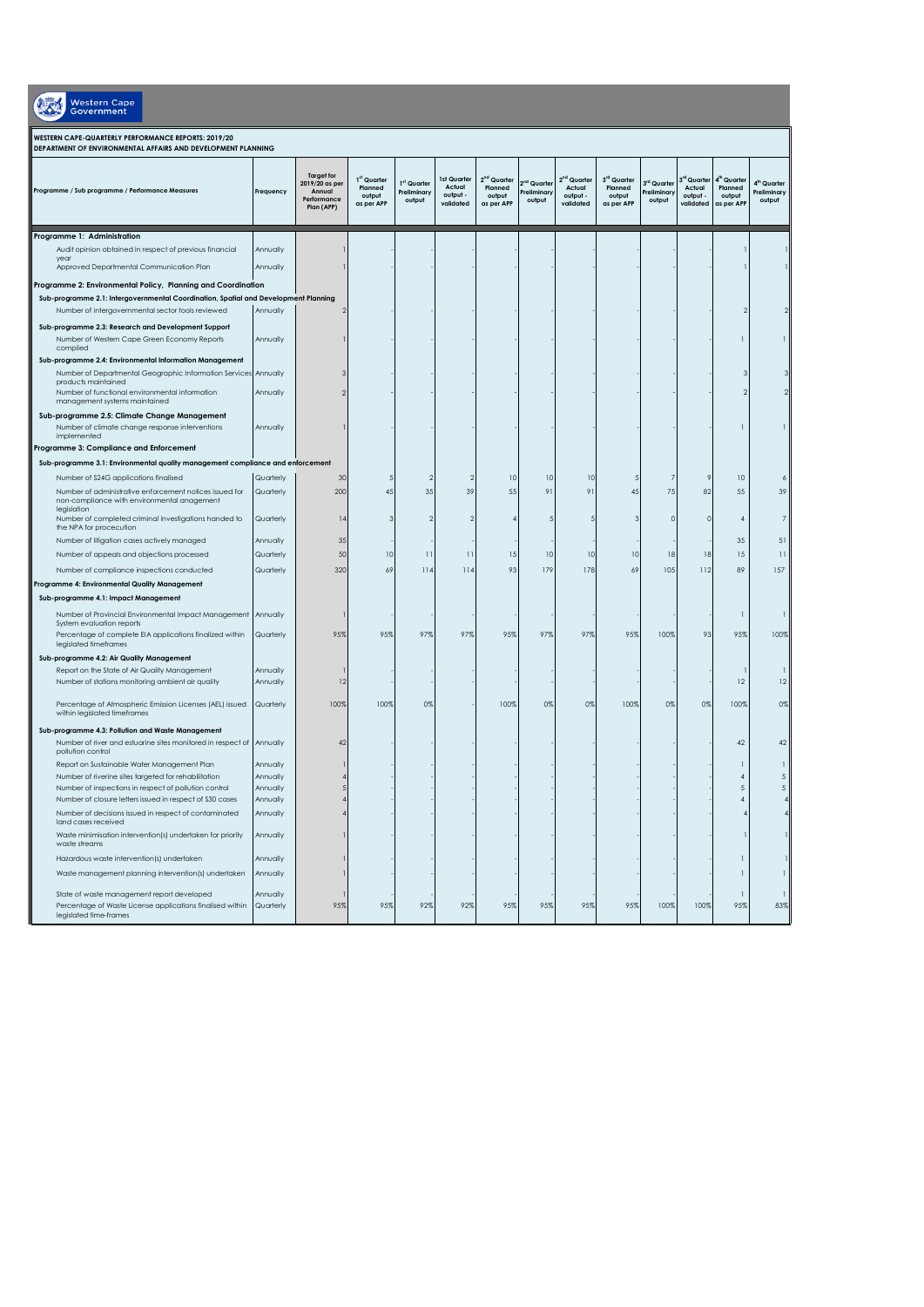| <b>Western Cape</b><br>Government                                                                                     |                       |                                                                            |                                                |                                      |                                                |                                                            |                                                  |                                                            |                                                |                                                  |                                                          |                                                            |                                                 |
|-----------------------------------------------------------------------------------------------------------------------|-----------------------|----------------------------------------------------------------------------|------------------------------------------------|--------------------------------------|------------------------------------------------|------------------------------------------------------------|--------------------------------------------------|------------------------------------------------------------|------------------------------------------------|--------------------------------------------------|----------------------------------------------------------|------------------------------------------------------------|-------------------------------------------------|
| WESTERN CAPE-QUARTERLY PERFORMANCE REPORTS: 2019/20<br>DEPARTMENT OF ENVIRONMENTAL AFFAIRS AND DEVELOPMENT PLANNING   |                       |                                                                            |                                                |                                      |                                                |                                                            |                                                  |                                                            |                                                |                                                  |                                                          |                                                            |                                                 |
| Programme / Sub programme / Performance Measures                                                                      | Frequency             | <b>Target for</b><br>2019/20 as per<br>Annual<br>Performance<br>Plan (APP) | 1st Quarter<br>Planned<br>output<br>as per APP | 1st Quarter<br>Preliminary<br>output | 1st Quarter<br>Actual<br>output -<br>validated | 2 <sup>nd</sup> Quarter<br>Planned<br>output<br>as per APP | 2 <sup>nd</sup> Quarter<br>Preliminary<br>output | 2 <sup>nd</sup> Quarter<br>Actual<br>output -<br>validated | 3rd Quarter<br>Planned<br>output<br>as per APP | 3 <sup>rd</sup> Quarter<br>Preliminary<br>output | <sup>id</sup> Quartei<br>Actual<br>output -<br>validated | 4 <sup>th</sup> Quarter<br>Planned<br>output<br>as per API | 4 <sup>m</sup> Quarter<br>Preliminary<br>output |
| Programme 1: Administration                                                                                           |                       |                                                                            |                                                |                                      |                                                |                                                            |                                                  |                                                            |                                                |                                                  |                                                          |                                                            |                                                 |
| Audit opinion obtained in respect of previous financial                                                               | Annually              |                                                                            |                                                |                                      |                                                |                                                            |                                                  |                                                            |                                                |                                                  |                                                          |                                                            |                                                 |
| year<br>Approved Departmental Communication Plan                                                                      | Annually              |                                                                            |                                                |                                      |                                                |                                                            |                                                  |                                                            |                                                |                                                  |                                                          |                                                            |                                                 |
| Programme 2: Environmental Policy, Planning and Coordination                                                          |                       |                                                                            |                                                |                                      |                                                |                                                            |                                                  |                                                            |                                                |                                                  |                                                          |                                                            |                                                 |
| Sub-programme 2.1: Intergovernmental Coordination, Spatial and Development Planning                                   |                       |                                                                            |                                                |                                      |                                                |                                                            |                                                  |                                                            |                                                |                                                  |                                                          |                                                            |                                                 |
| Number of intergovernmental sector tools reviewed                                                                     | Annually              |                                                                            |                                                |                                      |                                                |                                                            |                                                  |                                                            |                                                |                                                  |                                                          |                                                            |                                                 |
| Sub-programme 2.3: Research and Development Support<br>Number of Western Cape Green Economy Reports<br>compiled       | Annually              |                                                                            |                                                |                                      |                                                |                                                            |                                                  |                                                            |                                                |                                                  |                                                          |                                                            |                                                 |
| Sub-programme 2.4: Environmental Information Management                                                               |                       |                                                                            |                                                |                                      |                                                |                                                            |                                                  |                                                            |                                                |                                                  |                                                          |                                                            |                                                 |
| Number of Departmental Geographic Information Services                                                                | Annually              |                                                                            |                                                |                                      |                                                |                                                            |                                                  |                                                            |                                                |                                                  |                                                          |                                                            |                                                 |
| products maintained<br>Number of functional environmental information<br>management systems maintained                | Annually              |                                                                            |                                                |                                      |                                                |                                                            |                                                  |                                                            |                                                |                                                  |                                                          |                                                            |                                                 |
| Sub-programme 2.5: Climate Change Management<br>Number of climate change response interventions<br>implemented        | Annually              |                                                                            |                                                |                                      |                                                |                                                            |                                                  |                                                            |                                                |                                                  |                                                          |                                                            |                                                 |
| Programme 3: Compliance and Enforcement                                                                               |                       |                                                                            |                                                |                                      |                                                |                                                            |                                                  |                                                            |                                                |                                                  |                                                          |                                                            |                                                 |
| Sub-programme 3.1: Environmental quality management compliance and enforcement                                        |                       |                                                                            |                                                |                                      |                                                |                                                            |                                                  |                                                            |                                                |                                                  |                                                          |                                                            |                                                 |
| Number of S24G applications finalised                                                                                 | Quarterly             | 30                                                                         |                                                |                                      |                                                | 10                                                         | 10                                               | 10                                                         |                                                |                                                  | 9                                                        | 10                                                         |                                                 |
| Number of administrative enforcement notices issued for<br>non-compliance with environmental anagement<br>legislation | Quarterly             | 200                                                                        | 45                                             | 35                                   | 39                                             | 55                                                         | 91                                               | 91                                                         | 45                                             | 75                                               | 82                                                       | 55                                                         | 39                                              |
| Number of completed criminal investigations handed to<br>the NPA for procecution                                      | Quarterly             | $\frac{1}{2}$                                                              | 3                                              |                                      | 2                                              |                                                            |                                                  |                                                            |                                                |                                                  | $\Omega$                                                 | 4                                                          |                                                 |
| Number of litigation cases actively managed                                                                           | Annually              | 35                                                                         |                                                |                                      |                                                |                                                            |                                                  |                                                            |                                                |                                                  |                                                          | 35                                                         | 51                                              |
| Number of appeals and objections processed                                                                            | Quarterly             | 50                                                                         | 10                                             | $\mathbf{1}$                         | $\overline{11}$                                | 15                                                         | 10                                               | 10                                                         | 10                                             | 18                                               | 18                                                       | 15                                                         | $\overline{11}$                                 |
| Number of compliance inspections conducted<br>Programme 4: Environmental Quality Management                           | Quarterly             | 320                                                                        | 69                                             | 114                                  | 114                                            | 93                                                         | 179                                              | 178                                                        | 69                                             | 105                                              | 112                                                      | 89                                                         | 157                                             |
| Sub-programme 4.1: Impact Management                                                                                  |                       |                                                                            |                                                |                                      |                                                |                                                            |                                                  |                                                            |                                                |                                                  |                                                          |                                                            |                                                 |
| Number of Provincial Environmental Impact Management                                                                  | Annually              |                                                                            |                                                |                                      |                                                |                                                            |                                                  |                                                            |                                                |                                                  |                                                          |                                                            |                                                 |
| System evaluation reports<br>Percentage of complete EIA applications finalized within                                 | Quarterly             | 95%                                                                        | 95%                                            | 97%                                  | 97%                                            | 95%                                                        | 97%                                              | 97%                                                        | 95%                                            | 100%                                             | 93                                                       | 95%                                                        | 100%                                            |
| legislated timeframes                                                                                                 |                       |                                                                            |                                                |                                      |                                                |                                                            |                                                  |                                                            |                                                |                                                  |                                                          |                                                            |                                                 |
| Sub-programme 4.2: Air Quality Management<br>Report on the State of Air Quality Management                            |                       |                                                                            |                                                |                                      |                                                |                                                            |                                                  |                                                            |                                                |                                                  |                                                          |                                                            |                                                 |
| Number of stations monitoring ambient air quality                                                                     | Annually<br>Annually  | 12                                                                         |                                                |                                      |                                                |                                                            |                                                  |                                                            |                                                |                                                  |                                                          | 12                                                         | 12                                              |
| Percentage of Atmospheric Emission Licenses (AEL) issued<br>within legislated timeframes                              | Quarterly             | 100%                                                                       | 100%                                           | 0%                                   |                                                | 100%                                                       | 0%                                               | 0%                                                         | 100%                                           | 0%                                               | 0%                                                       | 100%                                                       | 0%                                              |
| Sub-programme 4.3: Pollution and Waste Management                                                                     |                       |                                                                            |                                                |                                      |                                                |                                                            |                                                  |                                                            |                                                |                                                  |                                                          |                                                            |                                                 |
| Number of river and estuarine sites monitored in respect of<br>pollution control                                      | Annually              | $\mathcal{A}'$                                                             |                                                |                                      |                                                |                                                            |                                                  |                                                            |                                                |                                                  |                                                          | 42                                                         | 42                                              |
| Report on Sustainable Water Management Plan<br>Number of riverine sites targeted for rehabilitation                   | Annually              |                                                                            |                                                |                                      |                                                |                                                            |                                                  |                                                            |                                                |                                                  |                                                          |                                                            | 5                                               |
| Number of inspections in respect of pollution control                                                                 | Annually<br>Annualiy  |                                                                            |                                                |                                      |                                                |                                                            |                                                  |                                                            |                                                |                                                  |                                                          |                                                            |                                                 |
| Number of closure letters issued in respect of \$30 cases                                                             | Annually              |                                                                            |                                                |                                      |                                                |                                                            |                                                  |                                                            |                                                |                                                  |                                                          | 4                                                          |                                                 |
| Number of decisions issued in respect of contaminated<br>land cases received                                          | Annually              |                                                                            |                                                |                                      |                                                |                                                            |                                                  |                                                            |                                                |                                                  |                                                          |                                                            |                                                 |
| Waste minimisation intervention(s) undertaken for priority<br>waste streams                                           | Annually              |                                                                            |                                                |                                      |                                                |                                                            |                                                  |                                                            |                                                |                                                  |                                                          |                                                            |                                                 |
| Hazardous waste intervention(s) undertaken                                                                            | Annually              |                                                                            |                                                |                                      |                                                |                                                            |                                                  |                                                            |                                                |                                                  |                                                          |                                                            |                                                 |
| Waste management planning intervention(s) undertaken                                                                  | Annually              |                                                                            |                                                |                                      |                                                |                                                            |                                                  |                                                            |                                                |                                                  |                                                          |                                                            |                                                 |
| State of waste management report developed<br>Percentage of Waste License applications finalised within               | Annually<br>Quarterly | 95%                                                                        | 95%                                            | 92%                                  | 92%                                            | 95%                                                        | 95%                                              | 95%                                                        | 95%                                            | 100%                                             | 100%                                                     | 95%                                                        | $\mathbf{1}$<br>83%                             |
| legislated time-frames                                                                                                |                       |                                                                            |                                                |                                      |                                                |                                                            |                                                  |                                                            |                                                |                                                  |                                                          |                                                            |                                                 |